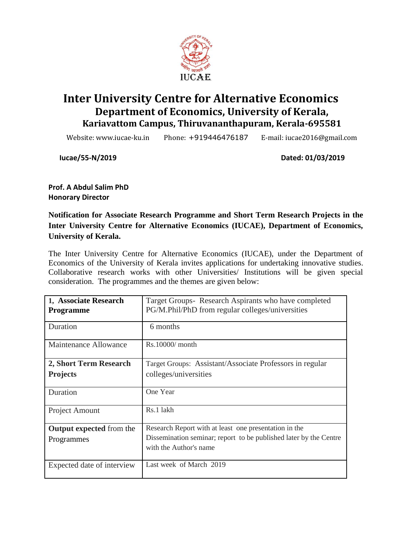

# **Inter University Centre for Alternative Economics Department of Economics, University of Kerala, Kariavattom Campus, Thiruvananthapuram, Kerala-695581**

Website: www.iucae-ku.in Phone: +919446476187 E-mail: iucae2016@gmail.com

**Iucae/55-N/2019 Dated: 01/03/2019**

**Prof. A Abdul Salim PhD Honorary Director**

**Notification for Associate Research Programme and Short Term Research Projects in the Inter University Centre for Alternative Economics (IUCAE), Department of Economics, University of Kerala.** 

The Inter University Centre for Alternative Economics (IUCAE), under the Department of Economics of the University of Kerala invites applications for undertaking innovative studies. Collaborative research works with other Universities/ Institutions will be given special consideration. The programmes and the themes are given below:

| 1, Associate Research<br><b>Programme</b> | Target Groups-Research Aspirants who have completed<br>PG/M.Phil/PhD from regular colleges/universities |
|-------------------------------------------|---------------------------------------------------------------------------------------------------------|
| Duration                                  | 6 months                                                                                                |
| Maintenance Allowance                     | $Rs.10000/$ month                                                                                       |
| 2, Short Term Research                    | Target Groups: Assistant/Associate Professors in regular                                                |
| <b>Projects</b>                           | colleges/universities                                                                                   |
| Duration                                  | One Year                                                                                                |
| Project Amount                            | Rs.1 lakh                                                                                               |
| <b>Output expected</b> from the           | Research Report with at least one presentation in the                                                   |
| Programmes                                | Dissemination seminar; report to be published later by the Centre<br>with the Author's name             |
| Expected date of interview                | Last week of March 2019                                                                                 |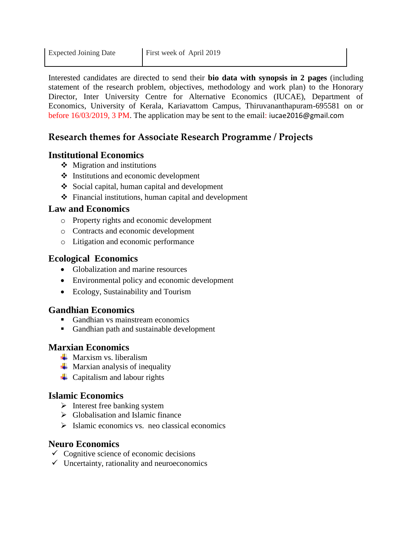Interested candidates are directed to send their **bio data with synopsis in 2 pages** (including statement of the research problem, objectives, methodology and work plan) to the Honorary Director, Inter University Centre for Alternative Economics (IUCAE), Department of Economics, University of Kerala, Kariavattom Campus, Thiruvananthapuram-695581 on or before 16/03/2019, 3 PM. The application may be sent to the email: iucae2016@gmail.com

## **Research themes for Associate Research Programme / Projects**

#### **Institutional Economics**

- $\triangleleft$  Migration and institutions
- $\triangleleft$  Institutions and economic development
- Social capital, human capital and development
- $\triangle$  Financial institutions, human capital and development

#### **Law and Economics**

- o Property rights and economic development
- o Contracts and economic development
- o Litigation and economic performance

## **Ecological Economics**

- Globalization and marine resources
- Environmental policy and economic development
- Ecology, Sustainability and Tourism

## **Gandhian Economics**

- Gandhian vs mainstream economics
- Gandhian path and sustainable development

## **Marxian Economics**

- $\perp$  Marxism vs. liberalism
- $\overline{\mathbf{u}}$  Marxian analysis of inequality
- $\leftarrow$  Capitalism and labour rights

## **Islamic Economics**

- $\triangleright$  Interest free banking system
- $\triangleright$  Globalisation and Islamic finance
- $\triangleright$  Islamic economics vs. neo classical economics

#### **Neuro Economics**

- $\checkmark$  Cognitive science of economic decisions
- $\checkmark$  Uncertainty, rationality and neuroeconomics